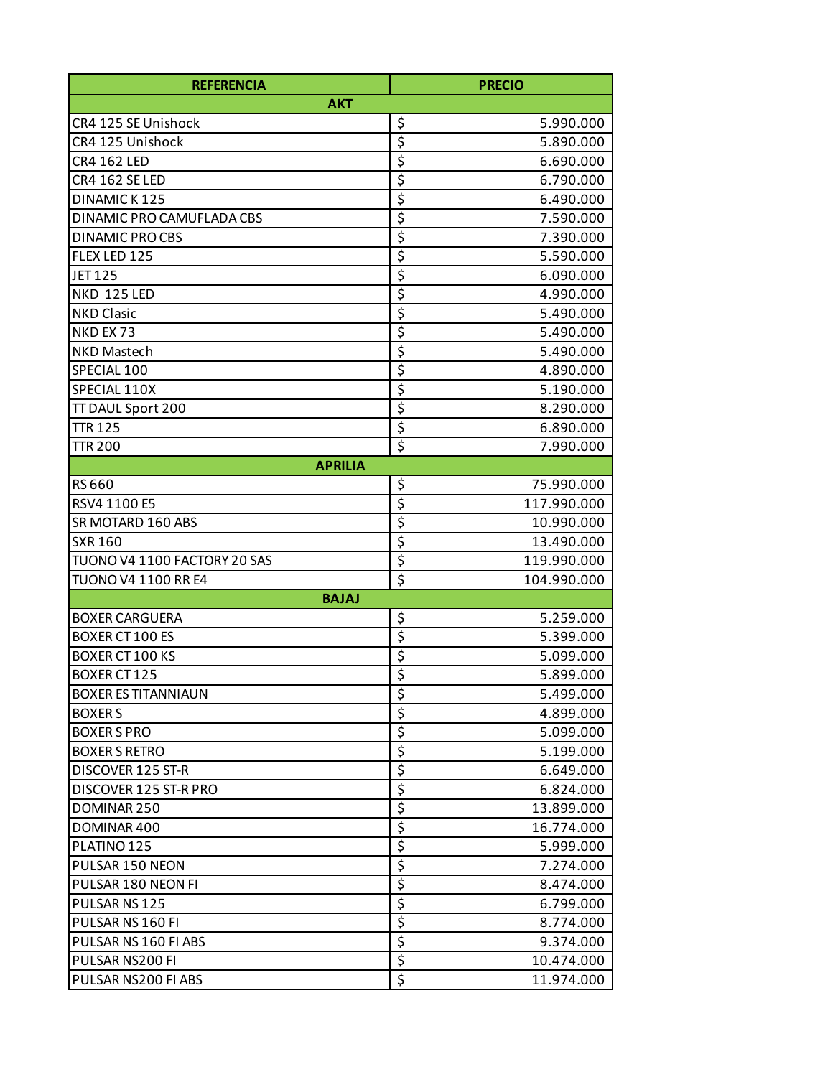| <b>REFERENCIA</b>            | <b>PRECIO</b>                                      |
|------------------------------|----------------------------------------------------|
| <b>AKT</b>                   |                                                    |
| CR4 125 SE Unishock          | \$<br>5.990.000                                    |
| CR4 125 Unishock             | \$<br>5.890.000                                    |
| <b>CR4 162 LED</b>           | $\overline{\boldsymbol{\varsigma}}$<br>6.690.000   |
| CR4 162 SE LED               | \$<br>6.790.000                                    |
| DINAMIC K125                 | \$<br>6.490.000                                    |
| DINAMIC PRO CAMUFLADA CBS    | $\overline{\boldsymbol{\varsigma}}$<br>7.590.000   |
| <b>DINAMIC PROCBS</b>        | \$<br>7.390.000                                    |
| FLEX LED 125                 | \$<br>5.590.000                                    |
| <b>JET125</b>                | \$<br>6.090.000                                    |
| <b>NKD 125 LED</b>           | \$<br>4.990.000                                    |
| <b>NKD Clasic</b>            | \$<br>5.490.000                                    |
| NKD EX 73                    | \$<br>5.490.000                                    |
| NKD Mastech                  | \$<br>5.490.000                                    |
| SPECIAL 100                  | \$<br>4.890.000                                    |
| SPECIAL 110X                 | \$<br>5.190.000                                    |
| TT DAUL Sport 200            | \$<br>8.290.000                                    |
| <b>TTR 125</b>               | \$<br>6.890.000                                    |
| <b>TTR 200</b>               | \$<br>7.990.000                                    |
| <b>APRILIA</b>               |                                                    |
| RS 660                       | \$<br>75.990.000                                   |
| RSV4 1100 E5                 | $\overline{\boldsymbol{\varsigma}}$<br>117.990.000 |
| SR MOTARD 160 ABS            | \$<br>10.990.000                                   |
| <b>SXR 160</b>               | \$<br>13.490.000                                   |
| TUONO V4 1100 FACTORY 20 SAS | \$<br>119.990.000                                  |
| <b>TUONO V4 1100 RR E4</b>   | \$<br>104.990.000                                  |
| <b>BAJAJ</b>                 |                                                    |
| <b>BOXER CARGUERA</b>        | \$<br>5.259.000                                    |
| <b>BOXER CT 100 ES</b>       | \$<br>5.399.000                                    |
| <b>BOXER CT 100 KS</b>       | \$<br>5.099.000                                    |
| BOXER CT 125                 | $\overline{\boldsymbol{\varsigma}}$<br>5.899.000   |
| <b>BOXER ES TITANNIAUN</b>   | \$<br>5.499.000                                    |
| <b>BOXERS</b>                | \$<br>4.899.000                                    |
| <b>BOXER S PRO</b>           | \$<br>5.099.000                                    |
| <b>BOXER S RETRO</b>         | \$<br>5.199.000                                    |
| DISCOVER 125 ST-R            | \$<br>6.649.000                                    |
| DISCOVER 125 ST-R PRO        | \$<br>6.824.000                                    |
| DOMINAR 250                  | \$<br>13.899.000                                   |
| DOMINAR 400                  | \$<br>16.774.000                                   |
| PLATINO 125                  | \$<br>5.999.000                                    |
| PULSAR 150 NEON              | \$<br>7.274.000                                    |
| PULSAR 180 NEON FI           | \$<br>8.474.000                                    |
| PULSAR NS 125                | \$<br>6.799.000                                    |
| PULSAR NS 160 FI             | \$<br>8.774.000                                    |
| PULSAR NS 160 FI ABS         | \$<br>9.374.000                                    |
| PULSAR NS200 FI              | \$<br>10.474.000                                   |
| PULSAR NS200 FI ABS          | \$<br>11.974.000                                   |
|                              |                                                    |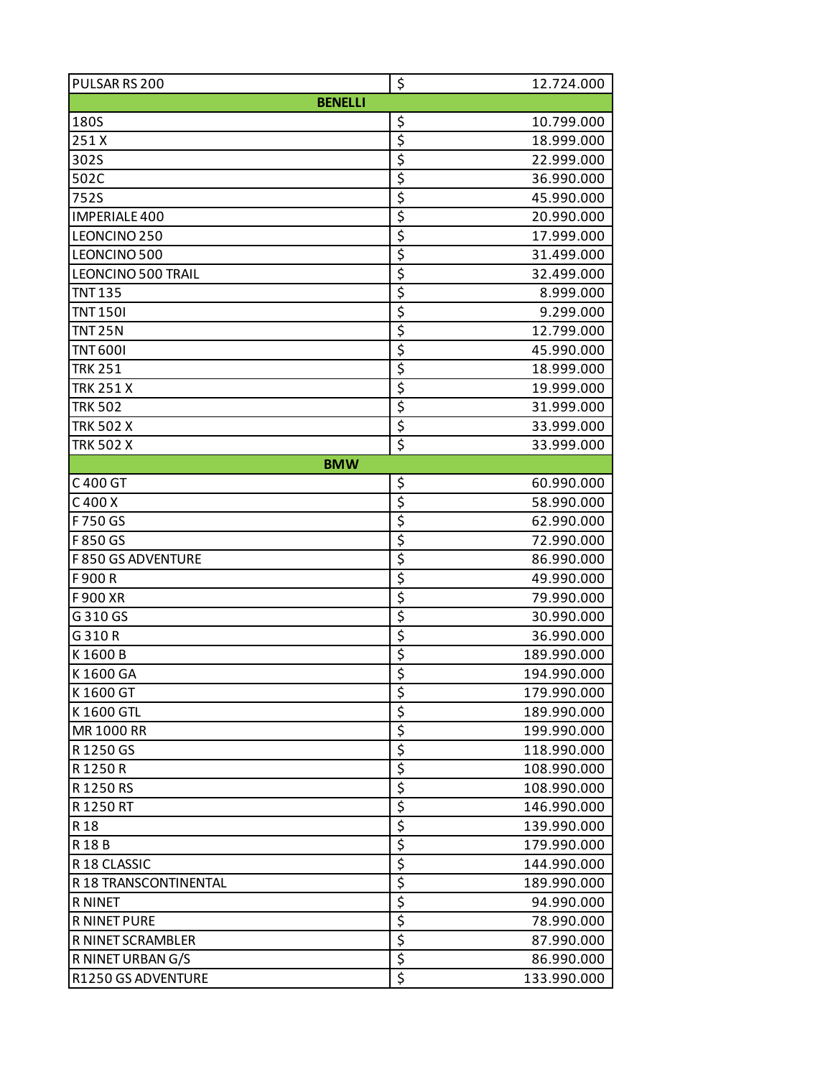| PULSAR RS 200             | \$<br>12.724.000  |
|---------------------------|-------------------|
| <b>BENELLI</b>            |                   |
| 180S                      | \$<br>10.799.000  |
| 251X                      | \$<br>18.999.000  |
| 302S                      | \$<br>22.999.000  |
| 502C                      | \$<br>36.990.000  |
| 752S                      | \$<br>45.990.000  |
| <b>IMPERIALE 400</b>      | \$<br>20.990.000  |
| LEONCINO <sub>250</sub>   | \$<br>17.999.000  |
| LEONCINO 500              | \$<br>31.499.000  |
| <b>LEONCINO 500 TRAIL</b> | \$<br>32.499.000  |
| <b>TNT 135</b>            | \$<br>8.999.000   |
| <b>TNT 1501</b>           | \$<br>9.299.000   |
| <b>TNT 25N</b>            | \$<br>12.799.000  |
| <b>TNT 6001</b>           | \$<br>45.990.000  |
| <b>TRK 251</b>            | \$<br>18.999.000  |
| <b>TRK 251 X</b>          | \$<br>19.999.000  |
| <b>TRK 502</b>            | \$<br>31.999.000  |
| <b>TRK 502 X</b>          | \$<br>33.999.000  |
| <b>TRK 502 X</b>          | \$<br>33.999.000  |
| <b>BMW</b>                |                   |
| C400 GT                   | \$<br>60.990.000  |
| C 400 X                   | \$<br>58.990.000  |
| F750 GS                   | \$<br>62.990.000  |
| F850 GS                   | \$<br>72.990.000  |
| F 850 GS ADVENTURE        | \$<br>86.990.000  |
| F900R                     | \$<br>49.990.000  |
| F900 XR                   | \$<br>79.990.000  |
| G310 GS                   | \$<br>30.990.000  |
| G310R                     | \$<br>36.990.000  |
| K1600B                    | \$<br>189.990.000 |
| K1600 GA                  | \$<br>194.990.000 |
| K1600 GT                  | \$<br>179.990.000 |
| K1600 GTL                 | \$<br>189.990.000 |
| MR 1000 RR                | \$<br>199.990.000 |
| R1250 GS                  | \$<br>118.990.000 |
| R1250R                    | \$<br>108.990.000 |
| R1250RS                   | \$<br>108.990.000 |
| R1250RT                   | \$<br>146.990.000 |
| R 18                      | \$<br>139.990.000 |
| R18B                      | \$<br>179.990.000 |
| R18 CLASSIC               | \$<br>144.990.000 |
| R 18 TRANSCONTINENTAL     | \$<br>189.990.000 |
| <b>R NINET</b>            | \$<br>94.990.000  |
| <b>R NINET PURE</b>       | \$<br>78.990.000  |
| R NINET SCRAMBLER         | \$<br>87.990.000  |
| R NINET URBAN G/S         | \$<br>86.990.000  |
| R1250 GS ADVENTURE        | \$<br>133.990.000 |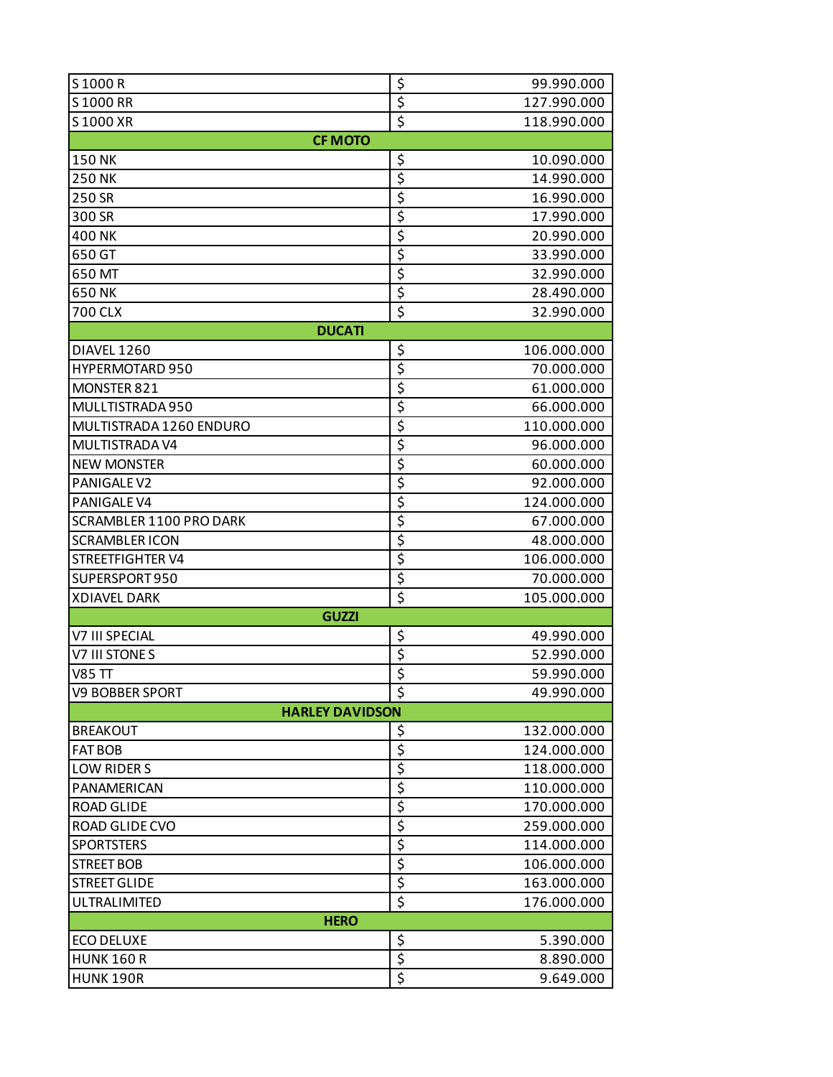| S1000R                  | \$<br>99.990.000                       |  |
|-------------------------|----------------------------------------|--|
| S1000 RR                | \$<br>127.990.000                      |  |
| S1000 XR                | $\overline{\xi}$<br>118.990.000        |  |
| <b>CF MOTO</b>          |                                        |  |
| <b>150 NK</b>           | \$<br>10.090.000                       |  |
| <b>250 NK</b>           | \$<br>14.990.000                       |  |
| 250 SR                  | \$<br>16.990.000                       |  |
| 300 SR                  | \$<br>17.990.000                       |  |
| 400 NK                  | \$<br>20.990.000                       |  |
| 650 GT                  | \$<br>33.990.000                       |  |
| 650 MT                  | \$<br>32.990.000                       |  |
| 650 NK                  | \$<br>28.490.000                       |  |
| 700 CLX                 | \$<br>32.990.000                       |  |
| <b>DUCATI</b>           |                                        |  |
| DIAVEL 1260             | \$<br>106.000.000                      |  |
| <b>HYPERMOTARD 950</b>  | \$<br>70.000.000                       |  |
| MONSTER 821             | \$<br>61.000.000                       |  |
| MULLTISTRADA 950        | \$<br>66.000.000                       |  |
| MULTISTRADA 1260 ENDURO | \$<br>110.000.000                      |  |
| MULTISTRADA V4          | \$<br>96.000.000                       |  |
| <b>NEW MONSTER</b>      | \$<br>60.000.000                       |  |
| PANIGALE V2             | \$<br>92.000.000                       |  |
| PANIGALE V4             | \$<br>124.000.000                      |  |
| SCRAMBLER 1100 PRO DARK | \$<br>67.000.000                       |  |
| <b>SCRAMBLER ICON</b>   | \$<br>48.000.000                       |  |
| <b>STREETFIGHTER V4</b> | \$<br>106.000.000                      |  |
| SUPERSPORT950           | \$<br>70.000.000                       |  |
| <b>XDIAVEL DARK</b>     | \$<br>105.000.000                      |  |
| <b>GUZZI</b>            |                                        |  |
| <b>V7 III SPECIAL</b>   | \$<br>49.990.000                       |  |
| V7 III STONES           | $\overline{\mathcal{S}}$<br>52.990.000 |  |
| <b>V85 TT</b>           | \$<br>59.990.000                       |  |
| <b>V9 BOBBER SPORT</b>  | \$<br>49.990.000                       |  |
| <b>HARLEY DAVIDSON</b>  |                                        |  |
| <b>BREAKOUT</b>         | \$<br>132.000.000                      |  |
| <b>FAT BOB</b>          | \$<br>124.000.000                      |  |
| LOW RIDER S             | \$<br>118.000.000                      |  |
| PANAMERICAN             | \$<br>110.000.000                      |  |
| <b>ROAD GLIDE</b>       | \$<br>170.000.000                      |  |
| ROAD GLIDE CVO          | \$<br>259.000.000                      |  |
| <b>SPORTSTERS</b>       | \$<br>114.000.000                      |  |
| <b>STREET BOB</b>       | \$<br>106.000.000                      |  |
| <b>STREET GLIDE</b>     | \$<br>163.000.000                      |  |
| ULTRALIMITED            | $\overline{\xi}$<br>176.000.000        |  |
| <b>HERO</b>             |                                        |  |
| <b>ECO DELUXE</b>       | \$<br>5.390.000                        |  |
| <b>HUNK 160 R</b>       | \$<br>8.890.000                        |  |
| <b>HUNK 190R</b>        | $\overline{\xi}$<br>9.649.000          |  |
|                         |                                        |  |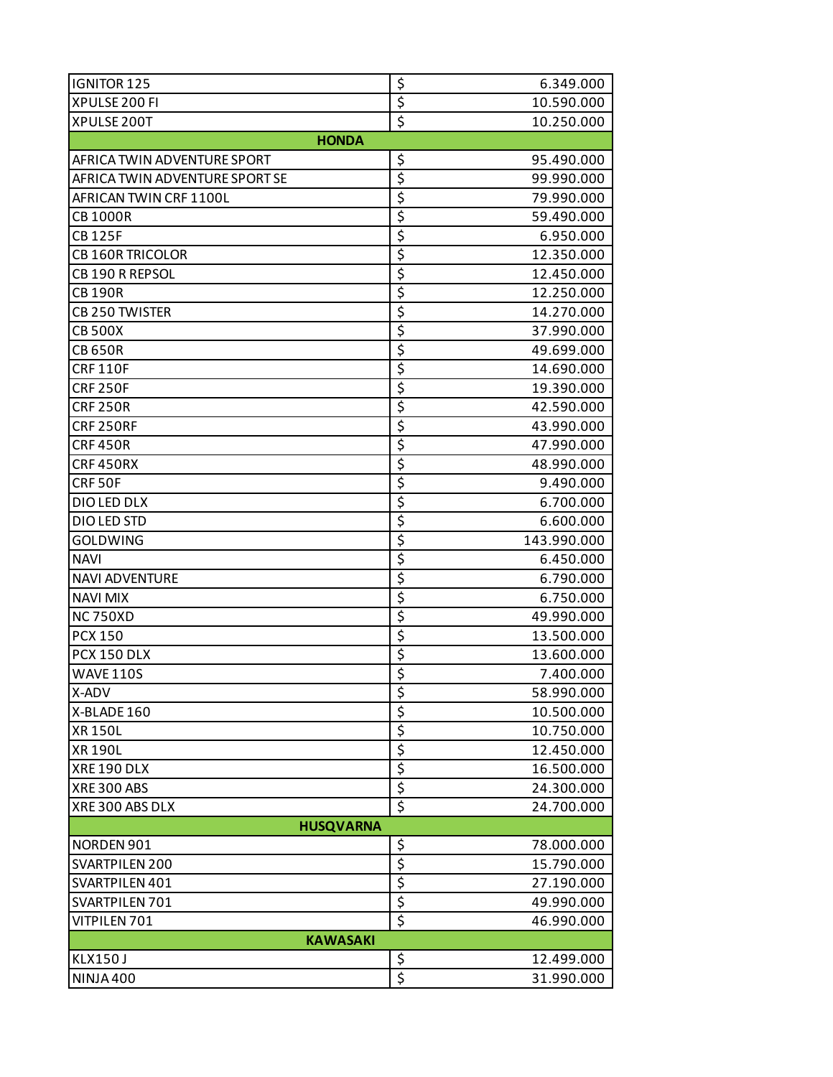| <b>IGNITOR 125</b>             | \$<br>6.349.000                               |  |
|--------------------------------|-----------------------------------------------|--|
| XPULSE 200 FI                  | $\overline{\xi}$<br>10.590.000                |  |
| XPULSE 200T                    | $\overline{\boldsymbol{\zeta}}$<br>10.250.000 |  |
| <b>HONDA</b>                   |                                               |  |
| AFRICA TWIN ADVENTURE SPORT    | \$<br>95.490.000                              |  |
| AFRICA TWIN ADVENTURE SPORT SE | \$<br>99.990.000                              |  |
| AFRICAN TWIN CRF 1100L         | \$<br>79.990.000                              |  |
| <b>CB1000R</b>                 | $\overline{\mathsf{S}}$<br>59.490.000         |  |
| <b>CB125F</b>                  | \$<br>6.950.000                               |  |
| <b>CB 160R TRICOLOR</b>        | \$<br>12.350.000                              |  |
| CB 190 R REPSOL                | \$<br>12.450.000                              |  |
| <b>CB190R</b>                  | \$<br>12.250.000                              |  |
| CB 250 TWISTER                 | \$<br>14.270.000                              |  |
| <b>CB 500X</b>                 | \$<br>37.990.000                              |  |
| <b>CB 650R</b>                 | \$<br>49.699.000                              |  |
| <b>CRF110F</b>                 | \$<br>14.690.000                              |  |
| <b>CRF 250F</b>                | \$<br>19.390.000                              |  |
| <b>CRF 250R</b>                | \$<br>42.590.000                              |  |
| <b>CRF 250RF</b>               | \$<br>43.990.000                              |  |
| <b>CRF450R</b>                 | \$<br>47.990.000                              |  |
| CRF450RX                       | \$<br>48.990.000                              |  |
| CRF50F                         | \$<br>9.490.000                               |  |
| DIO LED DLX                    | \$<br>6.700.000                               |  |
| DIO LED STD                    | \$<br>6.600.000                               |  |
| <b>GOLDWING</b>                | \$<br>143.990.000                             |  |
| <b>NAVI</b>                    | \$<br>6.450.000                               |  |
| <b>NAVI ADVENTURE</b>          | \$<br>6.790.000                               |  |
| <b>NAVI MIX</b>                | \$<br>6.750.000                               |  |
| <b>NC750XD</b>                 | $\overline{\mathsf{S}}$<br>49.990.000         |  |
| <b>PCX 150</b>                 | \$<br>13.500.000                              |  |
| PCX 150 DLX                    | \$<br>13.600.000                              |  |
| <b>WAVE 110S</b>               | \$<br>7.400.000                               |  |
| X-ADV                          | \$<br>58.990.000                              |  |
| X-BLADE 160                    | \$<br>10.500.000                              |  |
| <b>XR150L</b>                  | $\overline{\xi}$<br>10.750.000                |  |
| <b>XR 190L</b>                 | \$<br>12.450.000                              |  |
| XRE 190 DLX                    | \$<br>16.500.000                              |  |
| <b>XRE300 ABS</b>              | $\overline{\xi}$<br>24.300.000                |  |
| XRE300 ABS DLX                 | $\overline{\boldsymbol{\zeta}}$<br>24.700.000 |  |
| <b>HUSQVARNA</b>               |                                               |  |
| NORDEN 901                     | \$<br>78.000.000                              |  |
| SVARTPILEN 200                 | \$<br>15.790.000                              |  |
| SVARTPILEN 401                 | \$<br>27.190.000                              |  |
| SVARTPILEN 701                 | $\overline{\xi}$<br>49.990.000                |  |
| VITPILEN 701                   | \$<br>46.990.000                              |  |
| <b>KAWASAKI</b>                |                                               |  |
| <b>KLX150J</b>                 | \$<br>12.499.000                              |  |
| NINJA 400                      | \$<br>31.990.000                              |  |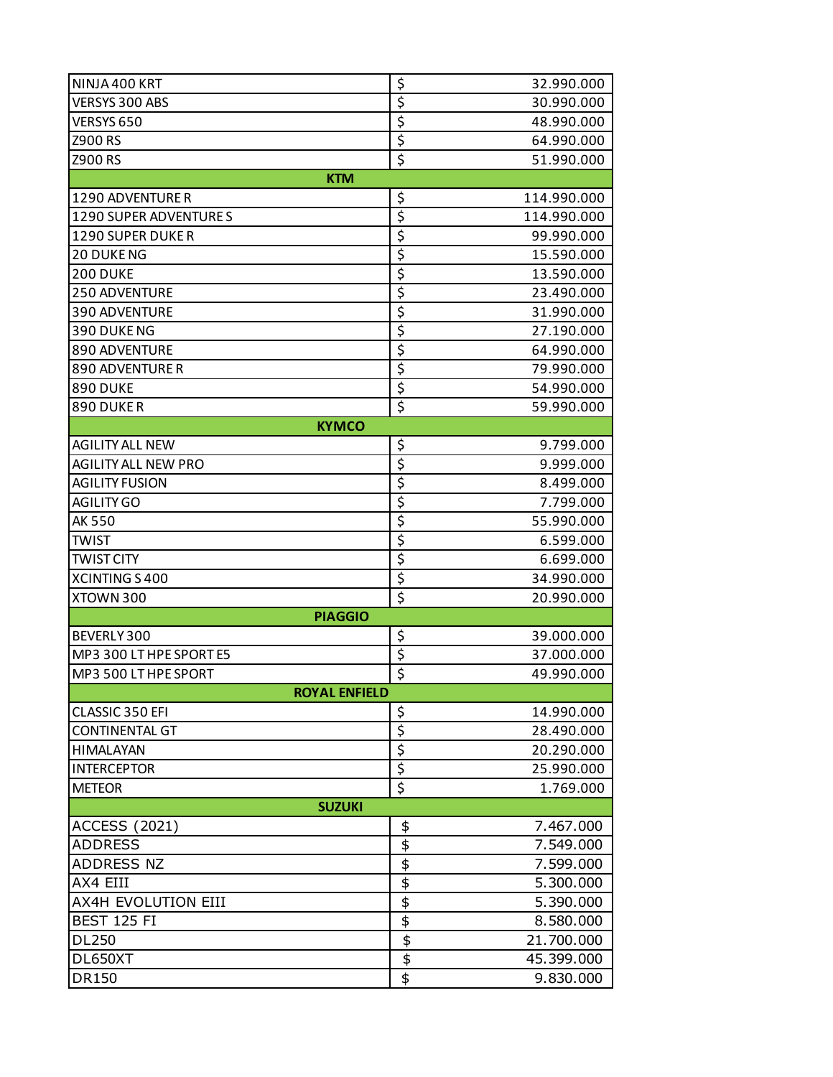| NINJA 400 KRT              | \$                                  | 32.990.000  |
|----------------------------|-------------------------------------|-------------|
| VERSYS 300 ABS             | \$                                  | 30.990.000  |
| VERSYS 650                 | $\overline{\mathsf{S}}$             | 48.990.000  |
| Z900 RS                    | \$                                  | 64.990.000  |
| <b>Z900 RS</b>             | $\overline{\boldsymbol{\zeta}}$     | 51.990.000  |
| <b>KTM</b>                 |                                     |             |
| 1290 ADVENTURE R           | \$                                  | 114.990.000 |
| 1290 SUPER ADVENTURE S     | $\overline{\xi}$                    | 114.990.000 |
| <b>1290 SUPER DUKE R</b>   | $\overline{\mathsf{S}}$             | 99.990.000  |
| <b>20 DUKENG</b>           | \$                                  | 15.590.000  |
| <b>200 DUKE</b>            | \$                                  | 13.590.000  |
| <b>250 ADVENTURE</b>       | $\overline{\mathsf{S}}$             | 23.490.000  |
| 390 ADVENTURE              | \$                                  | 31.990.000  |
| 390 DUKE NG                | \$                                  | 27.190.000  |
| 890 ADVENTURE              | $\overline{\mathsf{S}}$             | 64.990.000  |
| <b>890 ADVENTURE R</b>     | \$                                  | 79.990.000  |
| <b>890 DUKE</b>            | $\overline{\boldsymbol{\varsigma}}$ | 54.990.000  |
| 890 DUKER                  | \$                                  | 59.990.000  |
| <b>KYMCO</b>               |                                     |             |
| <b>AGILITY ALL NEW</b>     | \$                                  | 9.799.000   |
| <b>AGILITY ALL NEW PRO</b> | $\overline{\mathsf{S}}$             | 9.999.000   |
| <b>AGILITY FUSION</b>      | \$                                  | 8.499.000   |
| <b>AGILITY GO</b>          | \$                                  | 7.799.000   |
| AK 550                     | $\overline{\mathsf{S}}$             | 55.990.000  |
| <b>TWIST</b>               | \$                                  | 6.599.000   |
| <b>TWIST CITY</b>          | \$                                  | 6.699.000   |
| XCINTING S400              | $\overline{\mathsf{S}}$             | 34.990.000  |
| XTOWN 300                  | \$                                  | 20.990.000  |
| <b>PIAGGIO</b>             |                                     |             |
| BEVERLY 300                | \$                                  | 39.000.000  |
| MP3 300 LT HPE SPORTE5     | \$                                  | 37.000.000  |
| MP3 500 LT HPE SPORT       | $\overline{\mathsf{S}}$             | 49.990.000  |
| <b>ROYAL ENFIELD</b>       |                                     |             |
| CLASSIC 350 EFI            | \$                                  | 14.990.000  |
| <b>CONTINENTAL GT</b>      | $\overline{\boldsymbol{\varsigma}}$ | 28.490.000  |
| HIMALAYAN                  | \$                                  | 20.290.000  |
| <b>INTERCEPTOR</b>         | \$                                  | 25.990.000  |
| <b>METEOR</b>              | $\overline{\mathsf{S}}$             | 1.769.000   |
| <b>SUZUKI</b>              |                                     |             |
| <b>ACCESS (2021)</b>       | \$                                  | 7.467.000   |
| <b>ADDRESS</b>             | $\overline{\mathbf{e}}$             | 7.549.000   |
| <b>ADDRESS NZ</b>          | $\frac{4}{9}$                       | 7.599.000   |
| AX4 EIII                   |                                     | 5.300.000   |
| AX4H EVOLUTION EIII        |                                     | 5.390.000   |
| <b>BEST 125 FI</b>         | $\frac{1}{2}$                       | 8.580.000   |
| <b>DL250</b>               |                                     | 21.700.000  |
| DL650XT                    | $\overline{\mathfrak{s}}$           | 45.399.000  |
| <b>DR150</b>               | \$                                  | 9.830.000   |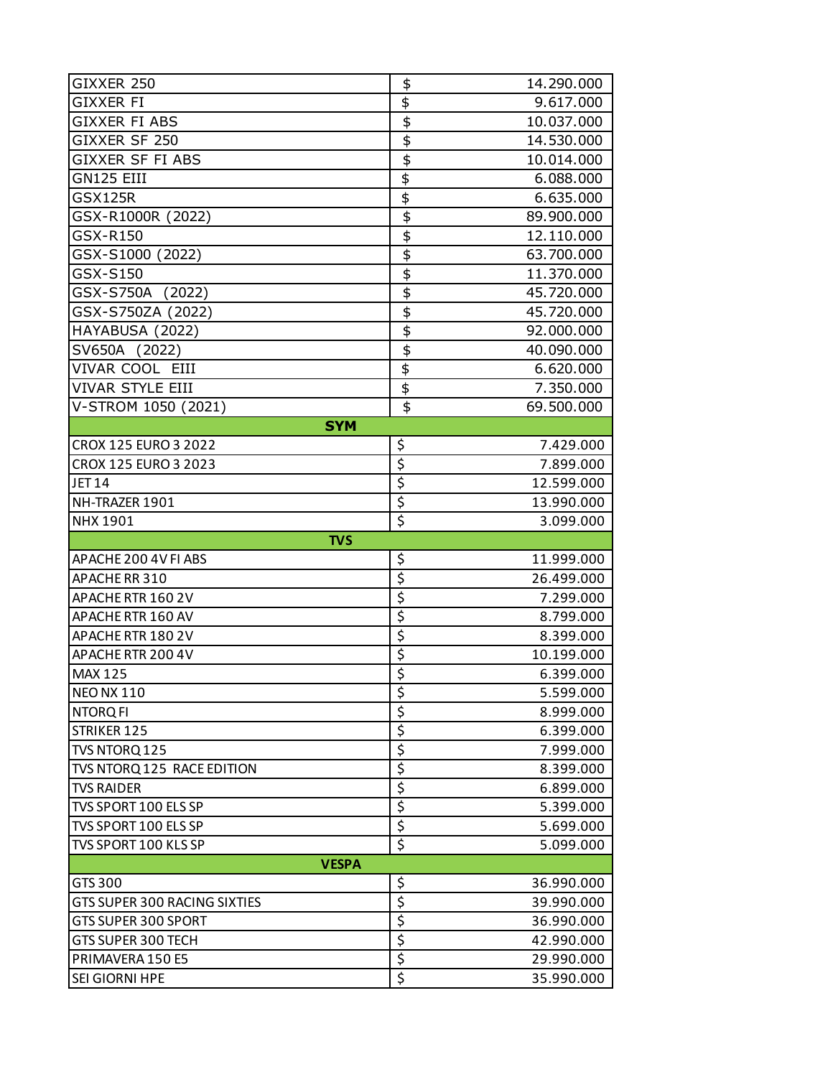| GIXXER 250                          | \$                                   | 14.290.000 |  |
|-------------------------------------|--------------------------------------|------------|--|
| GIXXER FI                           | \$                                   | 9.617.000  |  |
| <b>GIXXER FI ABS</b>                | $\overline{\mathbf{e}}$              | 10.037.000 |  |
| GIXXER SF 250                       | $\overline{\overline{\overline{z}}}$ | 14.530.000 |  |
| GIXXER SF FI ABS                    | $\overline{\mathbf{e}}$              | 10.014.000 |  |
| GN125 EIII                          | $\overline{\mathbf{e}}$              | 6.088.000  |  |
| <b>GSX125R</b>                      | $\overline{\mathfrak{s}}$            | 6.635.000  |  |
| GSX-R1000R (2022)                   | $\overline{\mathbf{e}}$              | 89.900.000 |  |
| GSX-R150                            | $\overline{\mathbf{t}}$              | 12.110.000 |  |
| GSX-S1000 (2022)                    | $\overline{\mathbf{z}}$              | 63.700.000 |  |
| GSX-S150                            | $\overline{\mathbf{e}}$              | 11.370.000 |  |
| GSX-S750A (2022)                    | $\overline{\mathfrak{s}}$            | 45.720.000 |  |
| GSX-S750ZA (2022)                   | $\overline{\overline{\overline{z}}}$ | 45.720.000 |  |
| HAYABUSA (2022)                     | $\overline{\mathbf{e}}$              | 92.000.000 |  |
| SV650A (2022)                       | $\overline{\mathfrak{s}}$            | 40.090.000 |  |
| VIVAR COOL EIII                     | $\overline{\mathfrak{s}}$            | 6.620.000  |  |
| <b>VIVAR STYLE EIII</b>             | \$                                   | 7.350.000  |  |
| V-STROM 1050 (2021)                 | \$                                   | 69,500,000 |  |
| <b>SYM</b>                          |                                      |            |  |
| CROX 125 EURO 3 2022                | \$                                   | 7.429.000  |  |
| CROX 125 EURO 3 2023                | \$                                   | 7.899.000  |  |
| <b>JET14</b>                        | \$                                   | 12.599.000 |  |
| NH-TRAZER 1901                      | \$                                   | 13.990.000 |  |
| <b>NHX 1901</b>                     | \$                                   | 3.099.000  |  |
|                                     |                                      |            |  |
| <b>TVS</b>                          |                                      |            |  |
| APACHE 200 4V FI ABS                | \$                                   | 11.999.000 |  |
| APACHERR 310                        | \$                                   | 26.499.000 |  |
| APACHERTR 160 2V                    | \$                                   | 7.299.000  |  |
| APACHERTR 160 AV                    | \$                                   | 8.799.000  |  |
| APACHERTR 180 2V                    | \$                                   | 8.399.000  |  |
| APACHE RTR 200 4V                   | \$                                   | 10.199.000 |  |
| <b>MAX 125</b>                      | \$                                   | 6.399.000  |  |
| <b>NEO NX 110</b>                   | \$                                   | 5.599.000  |  |
| <b>NTORQFI</b>                      | \$                                   | 8.999.000  |  |
| STRIKER 125                         | $\overline{\boldsymbol{\zeta}}$      | 6.399.000  |  |
| TVS NTORQ 125                       | \$                                   | 7.999.000  |  |
| TVS NTORQ 125 RACE EDITION          | \$                                   | 8.399.000  |  |
| <b>TVS RAIDER</b>                   | \$                                   | 6.899.000  |  |
| TVS SPORT 100 ELS SP                | \$                                   | 5.399.000  |  |
| TVS SPORT 100 ELS SP                | \$                                   | 5.699.000  |  |
| TVS SPORT 100 KLS SP                | \$                                   | 5.099.000  |  |
| <b>VESPA</b>                        |                                      |            |  |
| GTS 300                             | \$                                   | 36.990.000 |  |
| <b>GTS SUPER 300 RACING SIXTIES</b> | \$                                   | 39.990.000 |  |
| GTS SUPER 300 SPORT                 | \$                                   | 36.990.000 |  |
| GTS SUPER 300 TECH                  | \$                                   | 42.990.000 |  |
| PRIMAVERA 150 E5                    | \$<br>\$                             | 29.990.000 |  |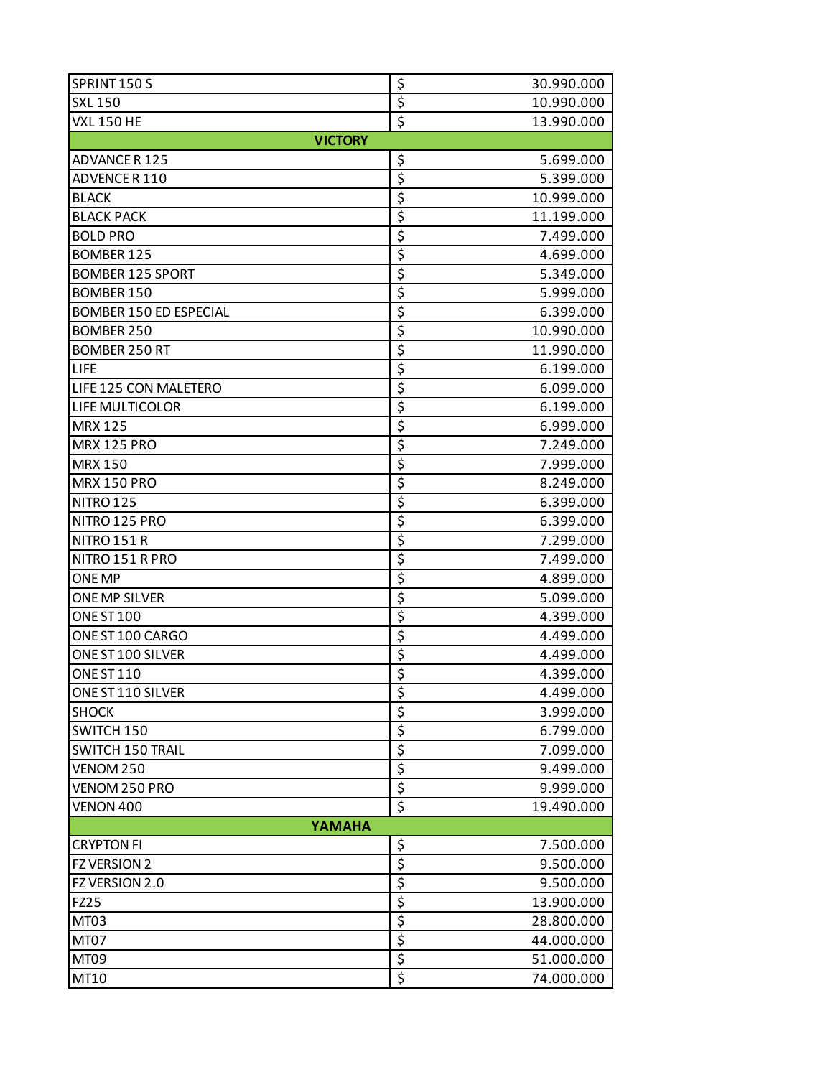| SPRINT 150 S                  | \$<br>30.990.000                             |  |  |
|-------------------------------|----------------------------------------------|--|--|
| <b>SXL 150</b>                | \$<br>10.990.000                             |  |  |
| <b>VXL 150 HE</b>             | \$<br>13.990.000                             |  |  |
| <b>VICTORY</b>                |                                              |  |  |
| ADVANCE R 125                 | \$<br>5.699.000                              |  |  |
| ADVENCE R 110                 | \$<br>5.399.000                              |  |  |
| <b>BLACK</b>                  | \$<br>10.999.000                             |  |  |
| <b>BLACK PACK</b>             | \$<br>11.199.000                             |  |  |
| <b>BOLD PRO</b>               | \$<br>7.499.000                              |  |  |
| <b>BOMBER 125</b>             | \$<br>4.699.000                              |  |  |
| <b>BOMBER 125 SPORT</b>       | \$<br>5.349.000                              |  |  |
| <b>BOMBER 150</b>             | \$<br>5.999.000                              |  |  |
| <b>BOMBER 150 ED ESPECIAL</b> | \$<br>6.399.000                              |  |  |
| <b>BOMBER 250</b>             | \$<br>10.990.000                             |  |  |
| <b>BOMBER 250 RT</b>          | \$<br>11.990.000                             |  |  |
| <b>LIFE</b>                   | \$<br>6.199.000                              |  |  |
| LIFE 125 CON MALETERO         | \$<br>6.099.000                              |  |  |
| LIFE MULTICOLOR               | \$<br>6.199.000                              |  |  |
| <b>MRX 125</b>                | \$<br>6.999.000                              |  |  |
| <b>MRX 125 PRO</b>            | \$<br>7.249.000                              |  |  |
| <b>MRX 150</b>                | \$<br>7.999.000                              |  |  |
| <b>MRX 150 PRO</b>            | \$<br>8.249.000                              |  |  |
| <b>NITRO 125</b>              | \$<br>6.399.000                              |  |  |
| NITRO 125 PRO                 | \$<br>6.399.000                              |  |  |
| <b>NITRO 151 R</b>            | \$<br>7.299.000                              |  |  |
| NITRO 151 R PRO               | \$<br>7.499.000                              |  |  |
| <b>ONE MP</b>                 | \$<br>4.899.000                              |  |  |
| ONE MP SILVER                 | \$<br>5.099.000                              |  |  |
| ONE ST 100                    | \$<br>4.399.000                              |  |  |
| ONE ST 100 CARGO              | $\overline{\boldsymbol{\zeta}}$<br>4.499.000 |  |  |
| ONE ST 100 SILVER             | \$<br>4.499.000                              |  |  |
| <b>ONE ST 110</b>             | \$<br>4.399.000                              |  |  |
| ONE ST 110 SILVER             | \$<br>4.499.000                              |  |  |
| <b>SHOCK</b>                  | \$<br>3.999.000                              |  |  |
| SWITCH 150                    | \$<br>6.799.000                              |  |  |
| <b>SWITCH 150 TRAIL</b>       | \$<br>7.099.000                              |  |  |
| VENOM 250                     | \$<br>9.499.000                              |  |  |
| VENOM 250 PRO                 | $\overline{\boldsymbol{\zeta}}$<br>9.999.000 |  |  |
| VENON 400                     | \$<br>19.490.000                             |  |  |
| YAMAHA                        |                                              |  |  |
| <b>CRYPTON FI</b>             | \$<br>7.500.000                              |  |  |
| FZ VERSION 2                  | $\overline{\boldsymbol{\zeta}}$<br>9.500.000 |  |  |
| FZ VERSION 2.0                | \$<br>9.500.000                              |  |  |
| <b>FZ25</b>                   | \$<br>13.900.000                             |  |  |
| MT03                          | \$<br>28.800.000                             |  |  |
| MT07                          | \$<br>44.000.000                             |  |  |
| MT09                          | \$<br>51.000.000                             |  |  |
| MT10                          | \$<br>74.000.000                             |  |  |